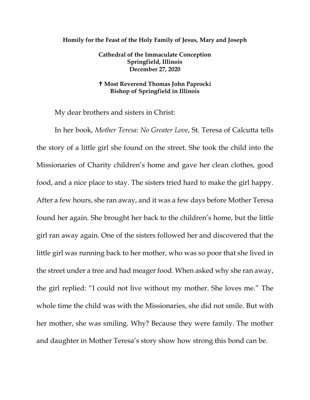#### **Homily for the Feast of the Holy Family of Jesus, Mary and Joseph**

**Cathedral of the Immaculate Conception Springfield, Illinois December 27, 2020**

#### **Most Reverend Thomas John Paprocki Bishop of Springfield in Illinois**

My dear brothers and sisters in Christ:

In her book, *Mother Teresa: No Greater Love*, St. Teresa of Calcutta tells the story of a little girl she found on the street. She took the child into the Missionaries of Charity children's home and gave her clean clothes, good food, and a nice place to stay. The sisters tried hard to make the girl happy. After a few hours, she ran away, and it was a few days before Mother Teresa found her again. She brought her back to the children's home, but the little girl ran away again. One of the sisters followed her and discovered that the little girl was running back to her mother, who was so poor that she lived in the street under a tree and had meager food. When asked why she ran away, the girl replied: "I could not live without my mother. She loves me." The whole time the child was with the Missionaries, she did not smile. But with her mother, she was smiling. Why? Because they were family. The mother and daughter in Mother Teresa's story show how strong this bond can be.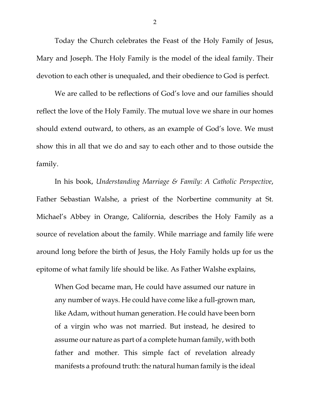Today the Church celebrates the Feast of the Holy Family of Jesus, Mary and Joseph. The Holy Family is the model of the ideal family. Their devotion to each other is unequaled, and their obedience to God is perfect.

We are called to be reflections of God's love and our families should reflect the love of the Holy Family. The mutual love we share in our homes should extend outward, to others, as an example of God's love. We must show this in all that we do and say to each other and to those outside the family.

In his book, *Understanding Marriage & Family: A Catholic Perspective*, Father Sebastian Walshe, a priest of the Norbertine community at St. Michael's Abbey in Orange, California, describes the Holy Family as a source of revelation about the family. While marriage and family life were around long before the birth of Jesus, the Holy Family holds up for us the epitome of what family life should be like. As Father Walshe explains,

When God became man, He could have assumed our nature in any number of ways. He could have come like a full-grown man, like Adam, without human generation. He could have been born of a virgin who was not married. But instead, he desired to assume our nature as part of a complete human family, with both father and mother. This simple fact of revelation already manifests a profound truth: the natural human family is the ideal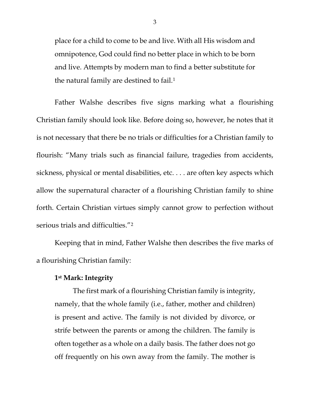place for a child to come to be and live. With all His wisdom and omnipotence, God could find no better place in which to be born and live. Attempts by modern man to find a better substitute for the natural family are destined to fail.<sup>[1](#page-5-0)</sup>

Father Walshe describes five signs marking what a flourishing Christian family should look like. Before doing so, however, he notes that it is not necessary that there be no trials or difficulties for a Christian family to flourish: "Many trials such as financial failure, tragedies from accidents, sickness, physical or mental disabilities, etc. . . . are often key aspects which allow the supernatural character of a flourishing Christian family to shine forth. Certain Christian virtues simply cannot grow to perfection without serious trials and difficulties."[2](#page-5-1)

Keeping that in mind, Father Walshe then describes the five marks of a flourishing Christian family:

# **1st Mark: Integrity**

The first mark of a flourishing Christian family is integrity, namely, that the whole family (i.e., father, mother and children) is present and active. The family is not divided by divorce, or strife between the parents or among the children. The family is often together as a whole on a daily basis. The father does not go off frequently on his own away from the family. The mother is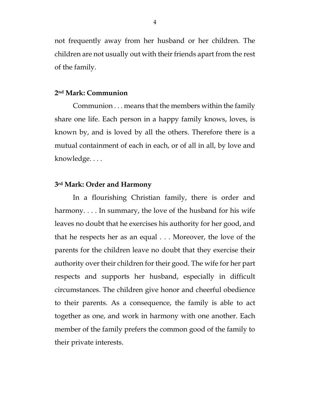not frequently away from her husband or her children. The children are not usually out with their friends apart from the rest of the family.

## **2nd Mark: Communion**

Communion . . . means that the members within the family share one life. Each person in a happy family knows, loves, is known by, and is loved by all the others. Therefore there is a mutual containment of each in each, or of all in all, by love and knowledge. . . .

## **3rd Mark: Order and Harmony**

In a flourishing Christian family, there is order and harmony.... In summary, the love of the husband for his wife leaves no doubt that he exercises his authority for her good, and that he respects her as an equal . . . Moreover, the love of the parents for the children leave no doubt that they exercise their authority over their children for their good. The wife for her part respects and supports her husband, especially in difficult circumstances. The children give honor and cheerful obedience to their parents. As a consequence, the family is able to act together as one, and work in harmony with one another. Each member of the family prefers the common good of the family to their private interests.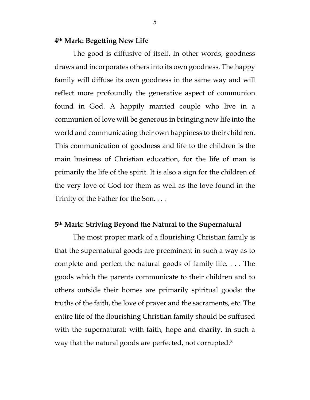# **4th Mark: Begetting New Life**

The good is diffusive of itself. In other words, goodness draws and incorporates others into its own goodness. The happy family will diffuse its own goodness in the same way and will reflect more profoundly the generative aspect of communion found in God. A happily married couple who live in a communion of love will be generous in bringing new life into the world and communicating their own happiness to their children. This communication of goodness and life to the children is the main business of Christian education, for the life of man is primarily the life of the spirit. It is also a sign for the children of the very love of God for them as well as the love found in the Trinity of the Father for the Son. . . .

## **5th Mark: Striving Beyond the Natural to the Supernatural**

The most proper mark of a flourishing Christian family is that the supernatural goods are preeminent in such a way as to complete and perfect the natural goods of family life. . . . The goods which the parents communicate to their children and to others outside their homes are primarily spiritual goods: the truths of the faith, the love of prayer and the sacraments, etc. The entire life of the flourishing Christian family should be suffused with the supernatural: with faith, hope and charity, in such a way that the natural goods are perfected, not corrupted.[3](#page-5-2)